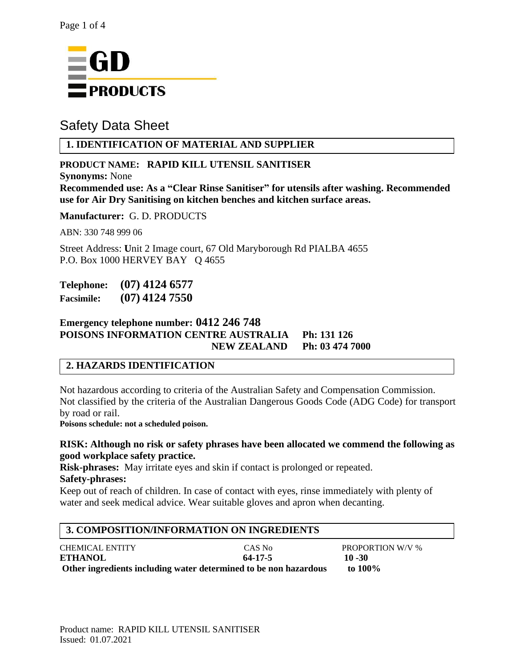

# Safety Data Sheet

# **1. IDENTIFICATION OF MATERIAL AND SUPPLIER**

# **PRODUCT NAME: RAPID KILL UTENSIL SANITISER**

**Synonyms:** None **Recommended use: As a "Clear Rinse Sanitiser" for utensils after washing. Recommended use for Air Dry Sanitising on kitchen benches and kitchen surface areas.**

**Manufacturer:** G. D. PRODUCTS

ABN: 330 748 999 06

Street Address: **U**nit 2 Image court, 67 Old Maryborough Rd PIALBA 4655 P.O. Box 1000 HERVEY BAY Q 4655

**Telephone: (07) 4124 6577 Facsimile: (07) 4124 7550**

# **Emergency telephone number: 0412 246 748 POISONS INFORMATION CENTRE AUSTRALIA Ph: 131 126 NEW ZEALAND Ph: 03 474 7000**

# **2. HAZARDS IDENTIFICATION**

Not hazardous according to criteria of the Australian Safety and Compensation Commission. Not classified by the criteria of the Australian Dangerous Goods Code (ADG Code) for transport by road or rail.

**Poisons schedule: not a scheduled poison.**

#### **RISK: Although no risk or safety phrases have been allocated we commend the following as good workplace safety practice.**

**Risk-phrases:** May irritate eyes and skin if contact is prolonged or repeated.

### **Safety-phrases:**

Keep out of reach of children. In case of contact with eyes, rinse immediately with plenty of water and seek medical advice. Wear suitable gloves and apron when decanting.

# **3. COMPOSITION/INFORMATION ON INGREDIENTS**

| <b>CHEMICAL ENTITY</b>                                           | CAS No  | <b>PROPORTION W/V %</b> |
|------------------------------------------------------------------|---------|-------------------------|
| <b>ETHANOL</b>                                                   | 64-17-5 | $10 - 30$               |
| Other ingredients including water determined to be non hazardous |         | to 100%                 |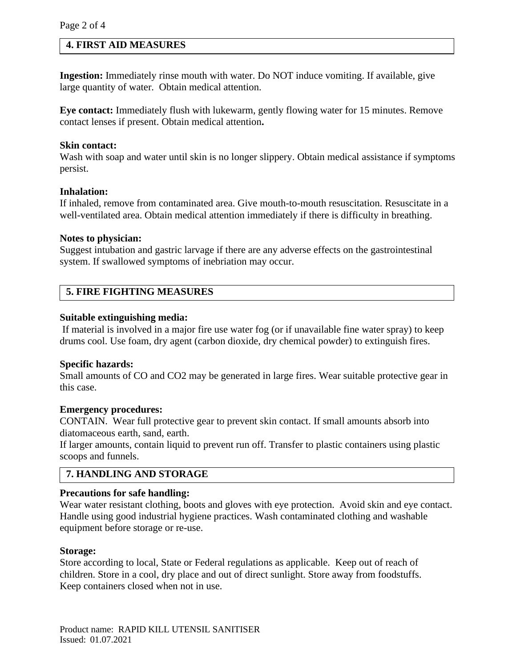#### **4. FIRST AID MEASURES**

**Ingestion:** Immediately rinse mouth with water. Do NOT induce vomiting. If available, give large quantity of water. Obtain medical attention.

**Eye contact:** Immediately flush with lukewarm, gently flowing water for 15 minutes. Remove contact lenses if present. Obtain medical attention**.**

#### **Skin contact:**

Wash with soap and water until skin is no longer slippery. Obtain medical assistance if symptoms persist.

#### **Inhalation:**

If inhaled, remove from contaminated area. Give mouth-to-mouth resuscitation. Resuscitate in a well-ventilated area. Obtain medical attention immediately if there is difficulty in breathing.

#### **Notes to physician:**

Suggest intubation and gastric larvage if there are any adverse effects on the gastrointestinal system. If swallowed symptoms of inebriation may occur.

### **5. FIRE FIGHTING MEASURES**

#### **Suitable extinguishing media:**

If material is involved in a major fire use water fog (or if unavailable fine water spray) to keep drums cool. Use foam, dry agent (carbon dioxide, dry chemical powder) to extinguish fires.

#### **Specific hazards:**

Small amounts of CO and CO2 may be generated in large fires. Wear suitable protective gear in this case.

#### **Emergency procedures:**

CONTAIN. Wear full protective gear to prevent skin contact. If small amounts absorb into diatomaceous earth, sand, earth.

If larger amounts, contain liquid to prevent run off. Transfer to plastic containers using plastic scoops and funnels.

### **7. HANDLING AND STORAGE**

#### **Precautions for safe handling:**

Wear water resistant clothing, boots and gloves with eye protection. Avoid skin and eye contact. Handle using good industrial hygiene practices. Wash contaminated clothing and washable equipment before storage or re-use.

#### **Storage:**

Store according to local, State or Federal regulations as applicable. Keep out of reach of children. Store in a cool, dry place and out of direct sunlight. Store away from foodstuffs. Keep containers closed when not in use.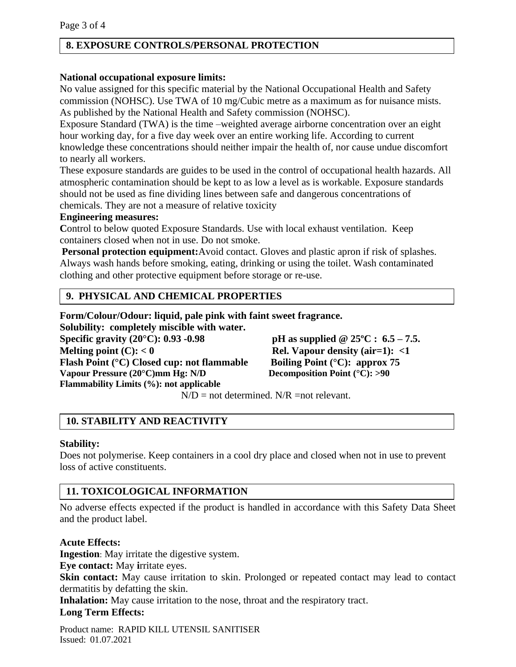### **8. EXPOSURE CONTROLS/PERSONAL PROTECTION**

#### **National occupational exposure limits:**

No value assigned for this specific material by the National Occupational Health and Safety commission (NOHSC). Use TWA of 10 mg/Cubic metre as a maximum as for nuisance mists. As published by the National Health and Safety commission (NOHSC).

Exposure Standard (TWA) is the time –weighted average airborne concentration over an eight hour working day, for a five day week over an entire working life. According to current knowledge these concentrations should neither impair the health of, nor cause undue discomfort to nearly all workers.

These exposure standards are guides to be used in the control of occupational health hazards. All atmospheric contamination should be kept to as low a level as is workable. Exposure standards should not be used as fine dividing lines between safe and dangerous concentrations of chemicals. They are not a measure of relative toxicity

#### **Engineering measures:**

Control to below quoted Exposure Standards. Use with local exhaust ventilation. Keep containers closed when not in use. Do not smoke.

**Personal protection equipment:**Avoid contact. Gloves and plastic apron if risk of splashes. Always wash hands before smoking, eating, drinking or using the toilet. Wash contaminated clothing and other protective equipment before storage or re-use.

### **9. PHYSICAL AND CHEMICAL PROPERTIES**

**Form/Colour/Odour: liquid, pale pink with faint sweet fragrance.**

**Solubility: completely miscible with water.**

**Specific gravity (20°C): 0.93 -0.98 pH as supplied @ 25ºC : 6.5 – 7.5. Melting point (C): < 0 Rel. Vapour density (air=1): <1 Flash Point (°C) Closed cup: not flammable Boiling Point (°C): approx 75 Vapour Pressure (20°C)mm Hg: N/D Decomposition Point (°C): >90 Flammability Limits (%): not applicable**

 $N/D$  = not determined.  $N/R$  = not relevant.

# **10. STABILITY AND REACTIVITY**

#### **Stability:**

Does not polymerise. Keep containers in a cool dry place and closed when not in use to prevent loss of active constituents.

# **11. TOXICOLOGICAL INFORMATION**

No adverse effects expected if the product is handled in accordance with this Safety Data Sheet and the product label.

### **Acute Effects:**

**Ingestion**: May irritate the digestive system.

**Eye contact:** May **i**rritate eyes.

**Skin contact:** May cause irritation to skin. Prolonged or repeated contact may lead to contact dermatitis by defatting the skin.

**Inhalation:** May cause irritation to the nose, throat and the respiratory tract. **Long Term Effects:**

Product name: RAPID KILL UTENSIL SANITISER Issued: 01.07.2021